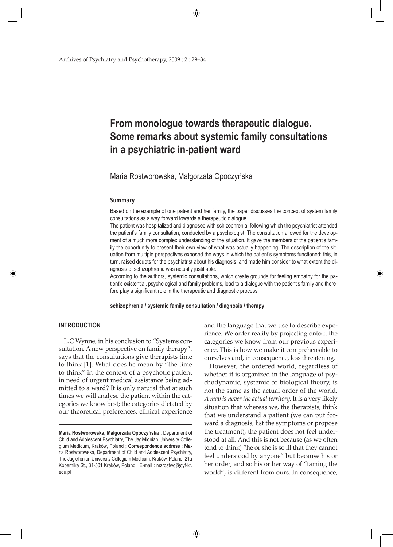Archives of Psychiatry and Psychotherapy, 2009 ; 2 : 29–34

# **From monologue towards therapeutic dialogue. Some remarks about systemic family consultations in a psychiatric in-patient ward**

## Maria Rostworowska, Małgorzata Opoczyńska

#### **Summary**

Based on the example of one patient and her family, the paper discusses the concept of system family consultations as a way forward towards a therapeutic dialogue.

The patient was hospitalized and diagnosed with schizophrenia, following which the psychiatrist attended the patient's family consultation, conducted by a psychologist. The consultation allowed for the development of a much more complex understanding of the situation. It gave the members of the patient's family the opportunity to present their own view of what was actually happening. The description of the situation from multiple perspectives exposed the ways in which the patient's symptoms functioned; this, in turn, raised doubts for the psychiatrist about his diagnosis, and made him consider to what extent the diagnosis of schizophrenia was actually justifiable.

According to the authors, systemic consultations, which create grounds for feeling empathy for the patient's existential, psychological and family problems, lead to a dialogue with the patient's family and therefore play a significant role in the therapeutic and diagnostic process.

**schizophrenia / systemic family consultation / diagnosis / therapy**

### **INTRODUCTION**

⊕

L.C Wynne, in his conclusion to "Systems consultation. A new perspective on family therapy", says that the consultations give therapists time to think [1]. What does he mean by "the time to think" in the context of a psychotic patient in need of urgent medical assistance being admitted to a ward? It is only natural that at such times we will analyse the patient within the categories we know best; the categories dictated by our theoretical preferences, clinical experience

and the language that we use to describe experience. We order reality by projecting onto it the categories we know from our previous experience. This is how we make it comprehensible to ourselves and, in consequence, less threatening.

◈

However, the ordered world, regardless of whether it is organized in the language of psychodynamic, systemic or biological theory, is not the same as the actual order of the world. *A map is never the actual territory.* It is a very likely situation that whereas we, the therapists, think that we understand a patient (we can put forward a diagnosis, list the symptoms or propose the treatment), the patient does not feel understood at all. And this is not because (as we often tend to think) "he or she is so ill that they cannot feel understood by anyone" but because his or her order, and so his or her way of "taming the world", is different from ours. In consequence,

**Maria Rostworowska, Małgorzata Opoczyńska** : Department of Child and Adolescent Psychiatry, The Jagiellonian University Collegium Medicum, Kraków, Poland ; Correspondence address : Maria Rostworowska, Department of Child and Adolescent Psychiatry, The Jagiellonian University Collegium Medicum, Kraków, Poland, 21a Kopernika St., 31-501 Kraków, Poland. E-mail : mzrostwo@cyf-kr. edu.pl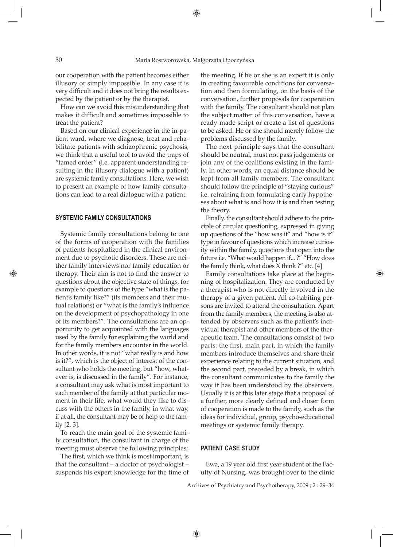⊕

our cooperation with the patient becomes either illusory or simply impossible. In any case it is very difficult and it does not bring the results expected by the patient or by the therapist.

How can we avoid this misunderstanding that makes it difficult and sometimes impossible to treat the patient?

Based on our clinical experience in the in-patient ward, where we diagnose, treat and rehabilitate patients with schizophrenic psychosis, we think that a useful tool to avoid the traps of "tamed order" (i.e. apparent understanding resulting in the illusory dialogue with a patient) are systemic family consultations. Here, we wish to present an example of how family consultations can lead to a real dialogue with a patient.

#### **SYSTEMIC FAMILY CONSULTATIONS**

Systemic family consultations belong to one of the forms of cooperation with the families of patients hospitalized in the clinical environment due to psychotic disorders. These are neither family interviews nor family education or therapy. Their aim is not to find the answer to questions about the objective state of things, for example to questions of the type "what is the patient's family like?" (its members and their mutual relations) or "what is the family's influence on the development of psychopathology in one of its members?". The consultations are an opportunity to get acquainted with the languages used by the family for explaining the world and for the family members encounter in the world. In other words, it is not "what really is and how is it?", which is the object of interest of the consultant who holds the meeting, but "how, whatever is, is discussed in the family". For instance, a consultant may ask what is most important to each member of the family at that particular moment in their life, what would they like to discuss with the others in the family, in what way, if at all, the consultant may be of help to the family [2, 3].

To reach the main goal of the systemic family consultation, the consultant in charge of the meeting must observe the following principles:

The first, which we think is most important, is that the consultant – a doctor or psychologist – suspends his expert knowledge for the time of the meeting. If he or she is an expert it is only in creating favourable conditions for conversation and then formulating, on the basis of the conversation, further proposals for cooperation with the family. The consultant should not plan the subject matter of this conversation, have a ready-made script or create a list of questions to be asked. He or she should merely follow the problems discussed by the family.

The next principle says that the consultant should be neutral, must not pass judgements or join any of the coalitions existing in the family. In other words, an equal distance should be kept from all family members. The consultant should follow the principle of "staying curious" i.e. refraining from formulating early hypotheses about what is and how it is and then testing the theory.

Finally, the consultant should adhere to the principle of circular questioning, expressed in giving up questions of the "how was it" and "how is it" type in favour of questions which increase curiosity within the family, questions that open into the future i.e. "What would happen if... ?" "How does the family think, what does  $X$  think ?" etc. [4]

⊕

Family consultations take place at the beginning of hospitalization. They are conducted by a therapist who is not directly involved in the therapy of a given patient. All co-habiting persons are invited to attend the consultation. Apart from the family members, the meeting is also attended by observers such as the patient's individual therapist and other members of the therapeutic team. The consultations consist of two parts: the first, main part, in which the family members introduce themselves and share their experience relating to the current situation, and the second part, preceded by a break, in which the consultant communicates to the family the way it has been understood by the observers. Usually it is at this later stage that a proposal of a further, more clearly defined and closer form of cooperation is made to the family, such as the ideas for individual, group, psycho-educational meetings or systemic family therapy.

#### **PATIENT CASE STUDY**

Ewa, a 19 year old first year student of the Faculty of Nursing, was brought over to the clinic

Archives of Psychiatry and Psychotherapy, 2009 ; 2 : 29–34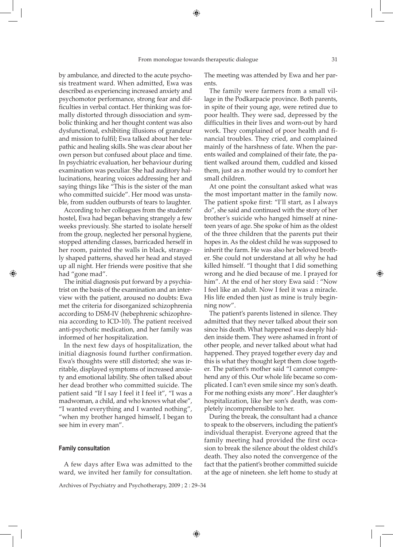by ambulance, and directed to the acute psychosis treatment ward. When admitted, Ewa was described as experiencing increased anxiety and psychomotor performance, strong fear and difficulties in verbal contact. Her thinking was formally distorted through dissociation and symbolic thinking and her thought content was also dysfunctional, exhibiting illusions of grandeur and mission to fulfil; Ewa talked about her telepathic and healing skills. She was clear about her own person but confused about place and time. In psychiatric evaluation, her behaviour during examination was peculiar. She had auditory hallucinations, hearing voices addressing her and saying things like "This is the sister of the man who committed suicide". Her mood was unstable, from sudden outbursts of tears to laughter.

According to her colleagues from the students' hostel, Ewa had began behaving strangely a few weeks previously. She started to isolate herself from the group, neglected her personal hygiene, stopped attending classes, barricaded herself in her room, painted the walls in black, strangely shaped patterns, shaved her head and stayed up all night. Her friends were positive that she had "gone mad".

The initial diagnosis put forward by a psychiatrist on the basis of the examination and an interview with the patient, aroused no doubts: Ewa met the criteria for disorganized schizophrenia according to DSM-IV (hebephrenic schizophrenia according to ICD-10). The patient received anti-psychotic medication, and her family was informed of her hospitalization.

In the next few days of hospitalization, the initial diagnosis found further confirmation. Ewa's thoughts were still distorted; she was irritable, displayed symptoms of increased anxiety and emotional lability. She often talked about her dead brother who committed suicide. The patient said "If I say I feel it I feel it", "I was a madwoman, a child, and who knows what else", "I wanted everything and I wanted nothing", "when my brother hanged himself, I began to see him in every man".

#### **Family consultation**

⊕

A few days after Ewa was admitted to the ward, we invited her family for consultation.

Archives of Psychiatry and Psychotherapy, 2009 ; 2 : 29–34

⊕

The meeting was attended by Ewa and her parents.

The family were farmers from a small village in the Podkarpacie province. Both parents, in spite of their young age, were retired due to poor health. They were sad, depressed by the difficulties in their lives and worn-out by hard work. They complained of poor health and financial troubles. They cried, and complained mainly of the harshness of fate. When the parents wailed and complained of their fate, the patient walked around them, cuddled and kissed them, just as a mother would try to comfort her small children.

At one point the consultant asked what was the most important matter in the family now. The patient spoke first: "I'll start, as I always do", she said and continued with the story of her brother's suicide who hanged himself at nineteen years of age. She spoke of him as the oldest of the three children that the parents put their hopes in. As the oldest child he was supposed to inherit the farm. He was also her beloved brother. She could not understand at all why he had killed himself. "I thought that I did something wrong and he died because of me. I prayed for him". At the end of her story Ewa said : "Now I feel like an adult. Now I feel it was a miracle. His life ended then just as mine is truly beginning now".

The patient's parents listened in silence. They admitted that they never talked about their son since his death. What happened was deeply hidden inside them. They were ashamed in front of other people, and never talked about what had happened. They prayed together every day and this is what they thought kept them close together. The patient's mother said "I cannot comprehend any of this. Our whole life became so complicated. I can't even smile since my son's death. For me nothing exists any more". Her daughter's hospitalization, like her son's death, was completely incomprehensible to her.

During the break, the consultant had a chance to speak to the observers, including the patient's individual therapist. Everyone agreed that the family meeting had provided the first occasion to break the silence about the oldest child's death. They also noted the convergence of the fact that the patient's brother committed suicide at the age of nineteen. she left home to study at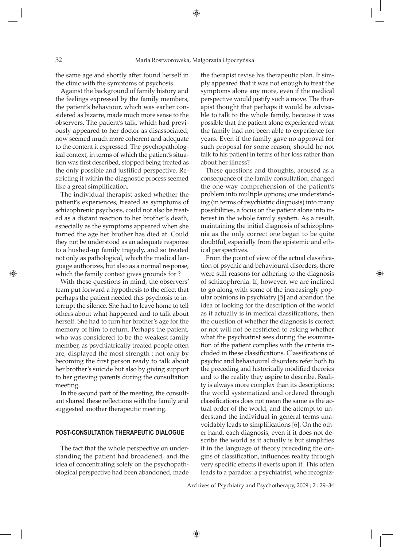the same age and shortly after found herself in the clinic with the symptoms of psychosis.

Against the background of family history and the feelings expressed by the family members, the patient's behaviour, which was earlier considered as bizarre, made much more sense to the observers. The patient's talk, which had previously appeared to her doctor as disassociated, now seemed much more coherent and adequate to the content it expressed. The psychopathological context, in terms of which the patient's situation was first described, stopped being treated as the only possible and justified perspective. Restricting it within the diagnostic process seemed like a great simplification.

The individual therapist asked whether the patient's experiences, treated as symptoms of schizophrenic psychosis, could not also be treated as a distant reaction to her brother's death, especially as the symptoms appeared when she turned the age her brother has died at. Could they not be understood as an adequate response to a hushed-up family tragedy, and so treated not only as pathological, which the medical language authorizes, but also as a normal response, which the family context gives grounds for ?

With these questions in mind, the observers' team put forward a hypothesis to the effect that perhaps the patient needed this psychosis to interrupt the silence. She had to leave home to tell others about what happened and to talk about herself. She had to turn her brother's age for the memory of him to return. Perhaps the patient, who was considered to be the weakest family member, as psychiatrically treated people often are, displayed the most strength : not only by becoming the first person ready to talk about her brother's suicide but also by giving support to her grieving parents during the consultation meeting.

In the second part of the meeting, the consultant shared these reflections with the family and suggested another therapeutic meeting.

#### **POST-CONSULTATION THERAPEUTIC DIALOGUE**

The fact that the whole perspective on understanding the patient had broadened, and the idea of concentrating solely on the psychopathological perspective had been abandoned, made

the therapist revise his therapeutic plan. It simply appeared that it was not enough to treat the symptoms alone any more, even if the medical perspective would justify such a move. The therapist thought that perhaps it would be advisable to talk to the whole family, because it was possible that the patient alone experienced what the family had not been able to experience for years. Even if the family gave no approval for such proposal for some reason, should he not talk to his patient in terms of her loss rather than about her illness?

These questions and thoughts, aroused as a consequence of the family consultation, changed the one-way comprehension of the patient's problem into multiple options; one understanding (in terms of psychiatric diagnosis) into many possibilities, a focus on the patient alone into interest in the whole family system. As a result, maintaining the initial diagnosis of schizophrenia as the only correct one began to be quite doubtful, especially from the epistemic and ethical perspectives.

⊕

From the point of view of the actual classification of psychic and behavioural disorders, there were still reasons for adhering to the diagnosis of schizophrenia. If, however, we are inclined to go along with some of the increasingly popular opinions in psychiatry [5] and abandon the idea of looking for the description of the world as it actually is in medical classifications, then the question of whether the diagnosis is correct or not will not be restricted to asking whether what the psychiatrist sees during the examination of the patient complies with the criteria included in these classifications. Classifications of psychic and behavioural disorders refer both to the preceding and historically modified theories and to the reality they aspire to describe. Reality is always more complex than its descriptions; the world systematized and ordered through classifications does not mean the same as the actual order of the world, and the attempt to understand the individual in general terms unavoidably leads to simplifications [6]. On the other hand, each diagnosis, even if it does not describe the world as it actually is but simplifies it in the language of theory preceding the origins of classification, influences reality through very specific effects it exerts upon it. This often leads to a paradox: a psychiatrist, who recogniz-

Archives of Psychiatry and Psychotherapy, 2009 ; 2 : 29–34

⊕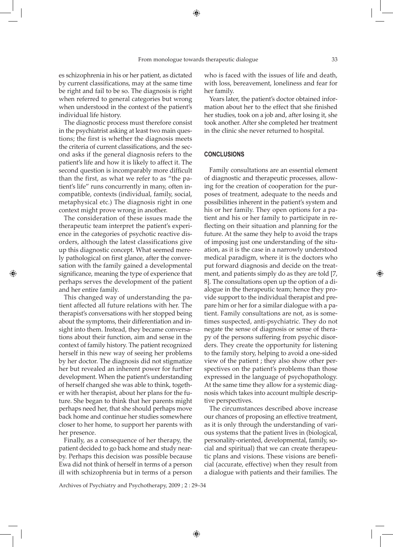es schizophrenia in his or her patient, as dictated by current classifications, may at the same time be right and fail to be so. The diagnosis is right when referred to general categories but wrong when understood in the context of the patient's individual life history.

The diagnostic process must therefore consist in the psychiatrist asking at least two main questions; the first is whether the diagnosis meets the criteria of current classifications, and the second asks if the general diagnosis refers to the patient's life and how it is likely to affect it. The second question is incomparably more difficult than the first, as what we refer to as "the patient's life" runs concurrently in many, often incompatible, contexts (individual, family, social, metaphysical etc.) The diagnosis right in one context might prove wrong in another.

The consideration of these issues made the therapeutic team interpret the patient's experience in the categories of psychotic reactive disorders, although the latest classifications give up this diagnostic concept. What seemed merely pathological on first glance, after the conversation with the family gained a developmental significance, meaning the type of experience that perhaps serves the development of the patient and her entire family.

⊕

This changed way of understanding the patient affected all future relations with her. The therapist's conversations with her stopped being about the symptoms, their differentiation and insight into them. Instead, they became conversations about their function, aim and sense in the context of family history. The patient recognized herself in this new way of seeing her problems by her doctor. The diagnosis did not stigmatize her but revealed an inherent power for further development. When the patient's understanding of herself changed she was able to think, together with her therapist, about her plans for the future. She began to think that her parents might perhaps need her, that she should perhaps move back home and continue her studies somewhere closer to her home, to support her parents with her presence.

Finally, as a consequence of her therapy, the patient decided to go back home and study nearby. Perhaps this decision was possible because Ewa did not think of herself in terms of a person ill with schizophrenia but in terms of a person

who is faced with the issues of life and death, with loss, bereavement, loneliness and fear for her family.

Years later, the patient's doctor obtained information about her to the effect that she finished her studies, took on a job and, after losing it, she took another. After she completed her treatment in the clinic she never returned to hospital.

#### **CONCLUSIONS**

Family consultations are an essential element of diagnostic and therapeutic processes, allowing for the creation of cooperation for the purposes of treatment, adequate to the needs and possibilities inherent in the patient's system and his or her family. They open options for a patient and his or her family to participate in reflecting on their situation and planning for the future. At the same they help to avoid the traps of imposing just one understanding of the situation, as it is the case in a narrowly understood medical paradigm, where it is the doctors who put forward diagnosis and decide on the treatment, and patients simply do as they are told [7, 8]. The consultations open up the option of a dialogue in the therapeutic team; hence they provide support to the individual therapist and prepare him or her for a similar dialogue with a patient. Family consultations are not, as is sometimes suspected, anti-psychiatric. They do not negate the sense of diagnosis or sense of therapy of the persons suffering from psychic disorders. They create the opportunity for listening to the family story, helping to avoid a one-sided view of the patient ; they also show other perspectives on the patient's problems than those expressed in the language of psychopathology. At the same time they allow for a systemic diagnosis which takes into account multiple descriptive perspectives.

⊕

The circumstances described above increase our chances of proposing an effective treatment, as it is only through the understanding of various systems that the patient lives in (biological, personality-oriented, developmental, family, social and spiritual) that we can create therapeutic plans and visions. These visions are beneficial (accurate, effective) when they result from a dialogue with patients and their families. The

Archives of Psychiatry and Psychotherapy, 2009 ; 2 : 29–34